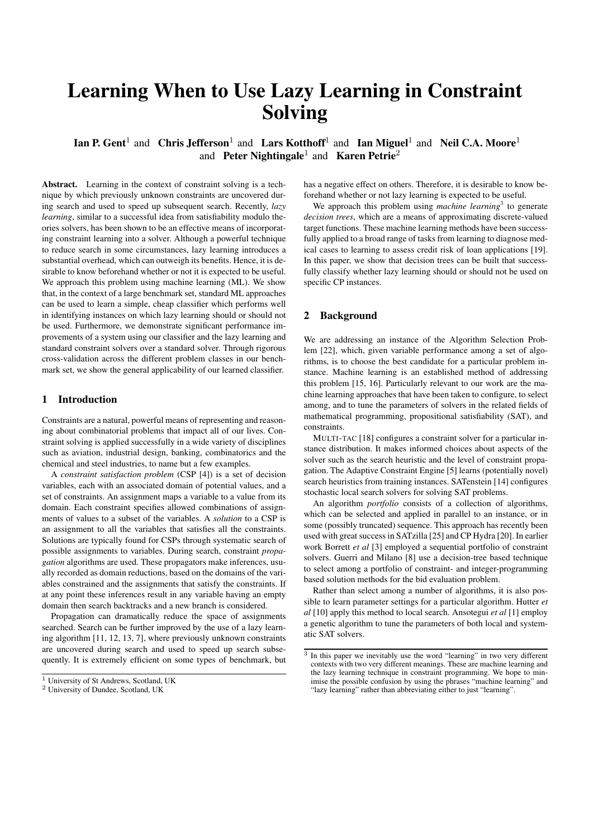# Learning When to Use Lazy Learning in Constraint Solving

Ian P. Gent<sup>1</sup> and Chris Jefferson<sup>1</sup> and Lars Kotthoff<sup>1</sup> and Ian Miguel<sup>1</sup> and Neil C.A. Moore<sup>1</sup> and Peter Nightingale<sup>1</sup> and Karen Petrie<sup>2</sup>

Abstract. Learning in the context of constraint solving is a technique by which previously unknown constraints are uncovered during search and used to speed up subsequent search. Recently, *lazy learning*, similar to a successful idea from satisfiability modulo theories solvers, has been shown to be an effective means of incorporating constraint learning into a solver. Although a powerful technique to reduce search in some circumstances, lazy learning introduces a substantial overhead, which can outweigh its benefits. Hence, it is desirable to know beforehand whether or not it is expected to be useful. We approach this problem using machine learning (ML). We show that, in the context of a large benchmark set, standard ML approaches can be used to learn a simple, cheap classifier which performs well in identifying instances on which lazy learning should or should not be used. Furthermore, we demonstrate significant performance improvements of a system using our classifier and the lazy learning and standard constraint solvers over a standard solver. Through rigorous cross-validation across the different problem classes in our benchmark set, we show the general applicability of our learned classifier.

#### 1 Introduction

Constraints are a natural, powerful means of representing and reasoning about combinatorial problems that impact all of our lives. Constraint solving is applied successfully in a wide variety of disciplines such as aviation, industrial design, banking, combinatorics and the chemical and steel industries, to name but a few examples.

A *constraint satisfaction problem* (CSP [4]) is a set of decision variables, each with an associated domain of potential values, and a set of constraints. An assignment maps a variable to a value from its domain. Each constraint specifies allowed combinations of assignments of values to a subset of the variables. A *solution* to a CSP is an assignment to all the variables that satisfies all the constraints. Solutions are typically found for CSPs through systematic search of possible assignments to variables. During search, constraint *propagation* algorithms are used. These propagators make inferences, usually recorded as domain reductions, based on the domains of the variables constrained and the assignments that satisfy the constraints. If at any point these inferences result in any variable having an empty domain then search backtracks and a new branch is considered.

Propagation can dramatically reduce the space of assignments searched. Search can be further improved by the use of a lazy learning algorithm [11, 12, 13, 7], where previously unknown constraints are uncovered during search and used to speed up search subsequently. It is extremely efficient on some types of benchmark, but

has a negative effect on others. Therefore, it is desirable to know beforehand whether or not lazy learning is expected to be useful.

We approach this problem using *machine learning*<sup>3</sup> to generate *decision trees*, which are a means of approximating discrete-valued target functions. These machine learning methods have been successfully applied to a broad range of tasks from learning to diagnose medical cases to learning to assess credit risk of loan applications [19]. In this paper, we show that decision trees can be built that successfully classify whether lazy learning should or should not be used on specific CP instances.

# 2 Background

We are addressing an instance of the Algorithm Selection Problem [22], which, given variable performance among a set of algorithms, is to choose the best candidate for a particular problem instance. Machine learning is an established method of addressing this problem [15, 16]. Particularly relevant to our work are the machine learning approaches that have been taken to configure, to select among, and to tune the parameters of solvers in the related fields of mathematical programming, propositional satisfiability (SAT), and constraints.

MULTI-TAC [18] configures a constraint solver for a particular instance distribution. It makes informed choices about aspects of the solver such as the search heuristic and the level of constraint propagation. The Adaptive Constraint Engine [5] learns (potentially novel) search heuristics from training instances. SATenstein [14] configures stochastic local search solvers for solving SAT problems.

An algorithm *portfolio* consists of a collection of algorithms, which can be selected and applied in parallel to an instance, or in some (possibly truncated) sequence. This approach has recently been used with great success in SATzilla [25] and CP Hydra [20]. In earlier work Borrett *et al* [3] employed a sequential portfolio of constraint solvers. Guerri and Milano [8] use a decision-tree based technique to select among a portfolio of constraint- and integer-programming based solution methods for the bid evaluation problem.

Rather than select among a number of algorithms, it is also possible to learn parameter settings for a particular algorithm. Hutter *et al* [10] apply this method to local search. Ansotegui *et al* [1] employ a genetic algorithm to tune the parameters of both local and systematic SAT solvers.

<sup>&</sup>lt;sup>1</sup> University of St Andrews, Scotland, UK

<sup>2</sup> University of Dundee, Scotland, UK

<sup>&</sup>lt;sup>3</sup> In this paper we inevitably use the word "learning" in two very different contexts with two very different meanings. These are machine learning and the lazy learning technique in constraint programming. We hope to minimise the possible confusion by using the phrases "machine learning" and "lazy learning" rather than abbreviating either to just "learning".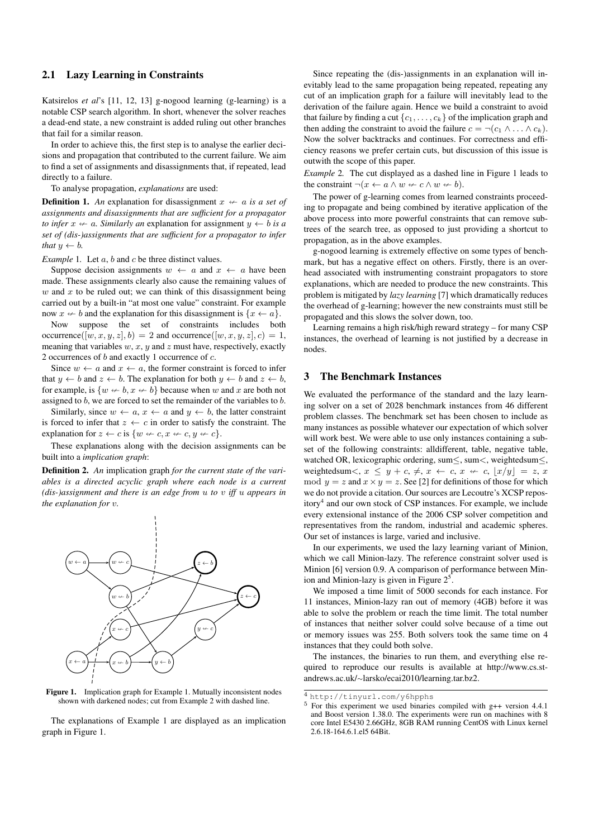#### 2.1 Lazy Learning in Constraints

Katsirelos *et al*'s [11, 12, 13] g-nogood learning (g-learning) is a notable CSP search algorithm. In short, whenever the solver reaches a dead-end state, a new constraint is added ruling out other branches that fail for a similar reason.

In order to achieve this, the first step is to analyse the earlier decisions and propagation that contributed to the current failure. We aim to find a set of assignments and disassignments that, if repeated, lead directly to a failure.

To analyse propagation, *explanations* are used:

**Definition 1.** An explanation for disassignment  $x \leftrightarrow a$  is a set of *assignments and disassignments that are sufficient for a propagator to infer*  $x \leftarrow a$ . Similarly an explanation for assignment  $y \leftarrow b$  *is a set of (dis-)assignments that are sufficient for a propagator to infer that*  $y \leftarrow b$ *.* 

*Example* 1*.* Let *a*, *b* and *c* be three distinct values.

Suppose decision assignments  $w \leftarrow a$  and  $x \leftarrow a$  have been made. These assignments clearly also cause the remaining values of  $w$  and  $x$  to be ruled out; we can think of this disassignment being carried out by a built-in "at most one value" constraint. For example now  $x \leftrightarrow b$  and the explanation for this disassignment is  $\{x \leftarrow a\}$ .

Now suppose the set of constraints includes both occurrence( $[w, x, y, z]$ ,  $b$ ) = 2 and occurrence( $[w, x, y, z]$ ,  $c$ ) = 1, meaning that variables  $w, x, y$  and  $z$  must have, respectively, exactly 2 occurrences of b and exactly 1 occurrence of c.

Since  $w \leftarrow a$  and  $x \leftarrow a$ , the former constraint is forced to infer that  $y \leftarrow b$  and  $z \leftarrow b$ . The explanation for both  $y \leftarrow b$  and  $z \leftarrow b$ , for example, is  $\{w \leftarrow b, x \leftarrow b\}$  because when w and x are both not assigned to b, we are forced to set the remainder of the variables to b.

Similarly, since  $w \leftarrow a, x \leftarrow a$  and  $y \leftarrow b$ , the latter constraint is forced to infer that  $z \leftarrow c$  in order to satisfy the constraint. The explanation for  $z \leftarrow c$  is  $\{w \leftarrow c, x \leftarrow c, y \leftarrow c\}.$ 

These explanations along with the decision assignments can be built into a *implication graph*:

Definition 2. *An* implication graph *for the current state of the variables is a directed acyclic graph where each node is a current (dis-)assignment and there is an edge from* u *to* v *iff* u *appears in the explanation for* v*.*



Figure 1. Implication graph for Example 1. Mutually inconsistent nodes shown with darkened nodes; cut from Example 2 with dashed line.

The explanations of Example 1 are displayed as an implication graph in Figure 1.

Since repeating the (dis-)assignments in an explanation will inevitably lead to the same propagation being repeated, repeating any cut of an implication graph for a failure will inevitably lead to the derivation of the failure again. Hence we build a constraint to avoid that failure by finding a cut  $\{c_1, \ldots, c_k\}$  of the implication graph and then adding the constraint to avoid the failure  $c = \neg(c_1 \land \dots \land c_k)$ . Now the solver backtracks and continues. For correctness and efficiency reasons we prefer certain cuts, but discussion of this issue is outwith the scope of this paper.

*Example* 2*.* The cut displayed as a dashed line in Figure 1 leads to the constraint  $\neg(x \leftarrow a \land w \leftarrow c \land w \leftarrow b)$ .

The power of g-learning comes from learned constraints proceeding to propagate and being combined by iterative application of the above process into more powerful constraints that can remove subtrees of the search tree, as opposed to just providing a shortcut to propagation, as in the above examples.

g-nogood learning is extremely effective on some types of benchmark, but has a negative effect on others. Firstly, there is an overhead associated with instrumenting constraint propagators to store explanations, which are needed to produce the new constraints. This problem is mitigated by *lazy learning* [7] which dramatically reduces the overhead of g-learning; however the new constraints must still be propagated and this slows the solver down, too.

Learning remains a high risk/high reward strategy – for many CSP instances, the overhead of learning is not justified by a decrease in nodes.

# 3 The Benchmark Instances

We evaluated the performance of the standard and the lazy learning solver on a set of 2028 benchmark instances from 46 different problem classes. The benchmark set has been chosen to include as many instances as possible whatever our expectation of which solver will work best. We were able to use only instances containing a subset of the following constraints: alldifferent, table, negative table, watched OR, lexicographic ordering, sum≤, sum<, weightedsum≤, weightedsum $\lt, x \leq y + c, \neq, x \leftarrow c, x \leftarrow c, |x/y| = z, x$ mod  $y = z$  and  $x \times y = z$ . See [2] for definitions of those for which we do not provide a citation. Our sources are Lecoutre's XCSP repository<sup>4</sup> and our own stock of CSP instances. For example, we include every extensional instance of the 2006 CSP solver competition and representatives from the random, industrial and academic spheres. Our set of instances is large, varied and inclusive.

In our experiments, we used the lazy learning variant of Minion, which we call Minion-lazy. The reference constraint solver used is Minion [6] version 0.9. A comparison of performance between Minion and Minion-lazy is given in Figure  $2^5$ .

We imposed a time limit of 5000 seconds for each instance. For 11 instances, Minion-lazy ran out of memory (4GB) before it was able to solve the problem or reach the time limit. The total number of instances that neither solver could solve because of a time out or memory issues was 255. Both solvers took the same time on 4 instances that they could both solve.

The instances, the binaries to run them, and everything else required to reproduce our results is available at http://www.cs.standrews.ac.uk/∼larsko/ecai2010/learning.tar.bz2.

<sup>4</sup> http://tinyurl.com/y6hpphs

<sup>5</sup> For this experiment we used binaries compiled with g++ version 4.4.1 and Boost version 1.38.0. The experiments were run on machines with 8 core Intel E5430 2.66GHz, 8GB RAM running CentOS with Linux kernel 2.6.18-164.6.1.el5 64Bit.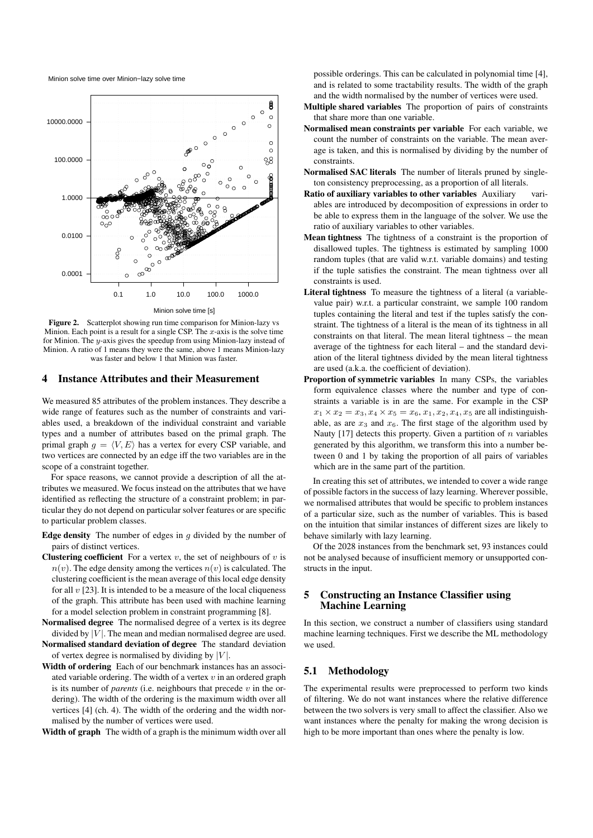Minion solve time over Minion−lazy solve time



Figure 2. Scatterplot showing run time comparison for Minion-lazy vs Minion. Each point is a result for a single CSP. The  $x$ -axis is the solve time for Minion. The y-axis gives the speedup from using Minion-lazy instead of Minion. A ratio of 1 means they were the same, above 1 means Minion-lazy was faster and below 1 that Minion was faster.

#### 4 Instance Attributes and their Measurement

We measured 85 attributes of the problem instances. They describe a wide range of features such as the number of constraints and variables used, a breakdown of the individual constraint and variable types and a number of attributes based on the primal graph. The primal graph  $g = \langle V, E \rangle$  has a vertex for every CSP variable, and two vertices are connected by an edge iff the two variables are in the scope of a constraint together.

For space reasons, we cannot provide a description of all the attributes we measured. We focus instead on the attributes that we have identified as reflecting the structure of a constraint problem; in particular they do not depend on particular solver features or are specific to particular problem classes.

- **Edge density** The number of edges in  $g$  divided by the number of pairs of distinct vertices.
- **Clustering coefficient** For a vertex  $v$ , the set of neighbours of  $v$  is  $n(v)$ . The edge density among the vertices  $n(v)$  is calculated. The clustering coefficient is the mean average of this local edge density for all  $v$  [23]. It is intended to be a measure of the local cliqueness of the graph. This attribute has been used with machine learning for a model selection problem in constraint programming [8].
- Normalised degree The normalised degree of a vertex is its degree divided by  $|V|$ . The mean and median normalised degree are used.
- Normalised standard deviation of degree The standard deviation of vertex degree is normalised by dividing by  $|V|$ .
- Width of ordering Each of our benchmark instances has an associated variable ordering. The width of a vertex  $v$  in an ordered graph is its number of *parents* (i.e. neighbours that precede v in the ordering). The width of the ordering is the maximum width over all vertices [4] (ch. 4). The width of the ordering and the width normalised by the number of vertices were used.

Width of graph The width of a graph is the minimum width over all

possible orderings. This can be calculated in polynomial time [4], and is related to some tractability results. The width of the graph and the width normalised by the number of vertices were used.

- Multiple shared variables The proportion of pairs of constraints that share more than one variable.
- Normalised mean constraints per variable For each variable, we count the number of constraints on the variable. The mean average is taken, and this is normalised by dividing by the number of constraints.
- Normalised SAC literals The number of literals pruned by singleton consistency preprocessing, as a proportion of all literals.
- Ratio of auxiliary variables to other variables Auxiliary variables are introduced by decomposition of expressions in order to be able to express them in the language of the solver. We use the ratio of auxiliary variables to other variables.
- Mean tightness The tightness of a constraint is the proportion of disallowed tuples. The tightness is estimated by sampling 1000 random tuples (that are valid w.r.t. variable domains) and testing if the tuple satisfies the constraint. The mean tightness over all constraints is used.
- Literal tightness To measure the tightness of a literal (a variablevalue pair) w.r.t. a particular constraint, we sample 100 random tuples containing the literal and test if the tuples satisfy the constraint. The tightness of a literal is the mean of its tightness in all constraints on that literal. The mean literal tightness – the mean average of the tightness for each literal – and the standard deviation of the literal tightness divided by the mean literal tightness are used (a.k.a. the coefficient of deviation).
- Proportion of symmetric variables In many CSPs, the variables form equivalence classes where the number and type of constraints a variable is in are the same. For example in the CSP  $x_1 \times x_2 = x_3, x_4 \times x_5 = x_6, x_1, x_2, x_4, x_5$  are all indistinguishable, as are  $x_3$  and  $x_6$ . The first stage of the algorithm used by Nauty [17] detects this property. Given a partition of  $n$  variables generated by this algorithm, we transform this into a number between 0 and 1 by taking the proportion of all pairs of variables which are in the same part of the partition.

In creating this set of attributes, we intended to cover a wide range of possible factors in the success of lazy learning. Wherever possible, we normalised attributes that would be specific to problem instances of a particular size, such as the number of variables. This is based on the intuition that similar instances of different sizes are likely to behave similarly with lazy learning.

Of the 2028 instances from the benchmark set, 93 instances could not be analysed because of insufficient memory or unsupported constructs in the input.

# 5 Constructing an Instance Classifier using Machine Learning

In this section, we construct a number of classifiers using standard machine learning techniques. First we describe the ML methodology we used.

# 5.1 Methodology

The experimental results were preprocessed to perform two kinds of filtering. We do not want instances where the relative difference between the two solvers is very small to affect the classifier. Also we want instances where the penalty for making the wrong decision is high to be more important than ones where the penalty is low.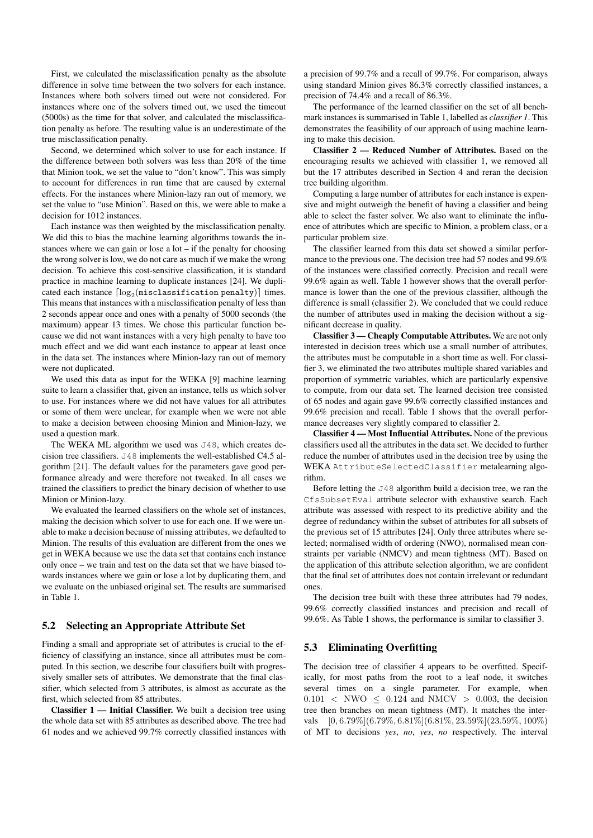First, we calculated the misclassification penalty as the absolute difference in solve time between the two solvers for each instance. Instances where both solvers timed out were not considered. For instances where one of the solvers timed out, we used the timeout (5000s) as the time for that solver, and calculated the misclassification penalty as before. The resulting value is an underestimate of the true misclassification penalty.

Second, we determined which solver to use for each instance. If the difference between both solvers was less than 20% of the time that Minion took, we set the value to "don't know". This was simply to account for differences in run time that are caused by external effects. For the instances where Minion-lazy ran out of memory, we set the value to "use Minion". Based on this, we were able to make a decision for 1012 instances.

Each instance was then weighted by the misclassification penalty. We did this to bias the machine learning algorithms towards the instances where we can gain or lose a lot – if the penalty for choosing the wrong solver is low, we do not care as much if we make the wrong decision. To achieve this cost-sensitive classification, it is standard practice in machine learning to duplicate instances [24]. We duplicated each instance  $\lceil \log_2(\texttt{misclassification penalty}) \rceil$  times. This means that instances with a misclassification penalty of less than 2 seconds appear once and ones with a penalty of 5000 seconds (the maximum) appear 13 times. We chose this particular function because we did not want instances with a very high penalty to have too much effect and we did want each instance to appear at least once in the data set. The instances where Minion-lazy ran out of memory were not duplicated.

We used this data as input for the WEKA [9] machine learning suite to learn a classifier that, given an instance, tells us which solver to use. For instances where we did not have values for all attributes or some of them were unclear, for example when we were not able to make a decision between choosing Minion and Minion-lazy, we used a question mark.

The WEKA ML algorithm we used was J48, which creates decision tree classifiers. J48 implements the well-established C4.5 algorithm [21]. The default values for the parameters gave good performance already and were therefore not tweaked. In all cases we trained the classifiers to predict the binary decision of whether to use Minion or Minion-lazy.

We evaluated the learned classifiers on the whole set of instances, making the decision which solver to use for each one. If we were unable to make a decision because of missing attributes, we defaulted to Minion. The results of this evaluation are different from the ones we get in WEKA because we use the data set that contains each instance only once – we train and test on the data set that we have biased towards instances where we gain or lose a lot by duplicating them, and we evaluate on the unbiased original set. The results are summarised in Table 1.

#### 5.2 Selecting an Appropriate Attribute Set

Finding a small and appropriate set of attributes is crucial to the efficiency of classifying an instance, since all attributes must be computed. In this section, we describe four classifiers built with progressively smaller sets of attributes. We demonstrate that the final classifier, which selected from 3 attributes, is almost as accurate as the first, which selected from 85 attributes.

Classifier 1 — Initial Classifier. We built a decision tree using the whole data set with 85 attributes as described above. The tree had 61 nodes and we achieved 99.7% correctly classified instances with

a precision of 99.7% and a recall of 99.7%. For comparison, always using standard Minion gives 86.3% correctly classified instances, a precision of 74.4% and a recall of 86.3%.

The performance of the learned classifier on the set of all benchmark instances is summarised in Table 1, labelled as *classifier 1*. This demonstrates the feasibility of our approach of using machine learning to make this decision.

Classifier 2 — Reduced Number of Attributes. Based on the encouraging results we achieved with classifier 1, we removed all but the 17 attributes described in Section 4 and reran the decision tree building algorithm.

Computing a large number of attributes for each instance is expensive and might outweigh the benefit of having a classifier and being able to select the faster solver. We also want to eliminate the influence of attributes which are specific to Minion, a problem class, or a particular problem size.

The classifier learned from this data set showed a similar performance to the previous one. The decision tree had 57 nodes and 99.6% of the instances were classified correctly. Precision and recall were 99.6% again as well. Table 1 however shows that the overall performance is lower than the one of the previous classifier, although the difference is small (classifier 2). We concluded that we could reduce the number of attributes used in making the decision without a significant decrease in quality.

Classifier 3 — Cheaply Computable Attributes. We are not only interested in decision trees which use a small number of attributes, the attributes must be computable in a short time as well. For classifier 3, we eliminated the two attributes multiple shared variables and proportion of symmetric variables, which are particularly expensive to compute, from our data set. The learned decision tree consisted of 65 nodes and again gave 99.6% correctly classified instances and 99.6% precision and recall. Table 1 shows that the overall performance decreases very slightly compared to classifier 2.

Classifier 4 — Most Influential Attributes. None of the previous classifiers used all the attributes in the data set. We decided to further reduce the number of attributes used in the decision tree by using the WEKA AttributeSelectedClassifier metalearning algorithm.

Before letting the J48 algorithm build a decision tree, we ran the CfsSubsetEval attribute selector with exhaustive search. Each attribute was assessed with respect to its predictive ability and the degree of redundancy within the subset of attributes for all subsets of the previous set of 15 attributes [24]. Only three attributes where selected; normalised width of ordering (NWO), normalised mean constraints per variable (NMCV) and mean tightness (MT). Based on the application of this attribute selection algorithm, we are confident that the final set of attributes does not contain irrelevant or redundant ones.

The decision tree built with these three attributes had 79 nodes, 99.6% correctly classified instances and precision and recall of 99.6%. As Table 1 shows, the performance is similar to classifier 3.

## 5.3 Eliminating Overfitting

The decision tree of classifier 4 appears to be overfitted. Specifically, for most paths from the root to a leaf node, it switches several times on a single parameter. For example, when  $0.101 < NWO \le 0.124$  and NMCV > 0.003, the decision tree then branches on mean tightness (MT). It matches the intervals [0, 6.79%](6.79%, 6.81%](6.81%, 23.59%](23.59%, 100%) of MT to decisions *yes*, *no*, *yes*, *no* respectively. The interval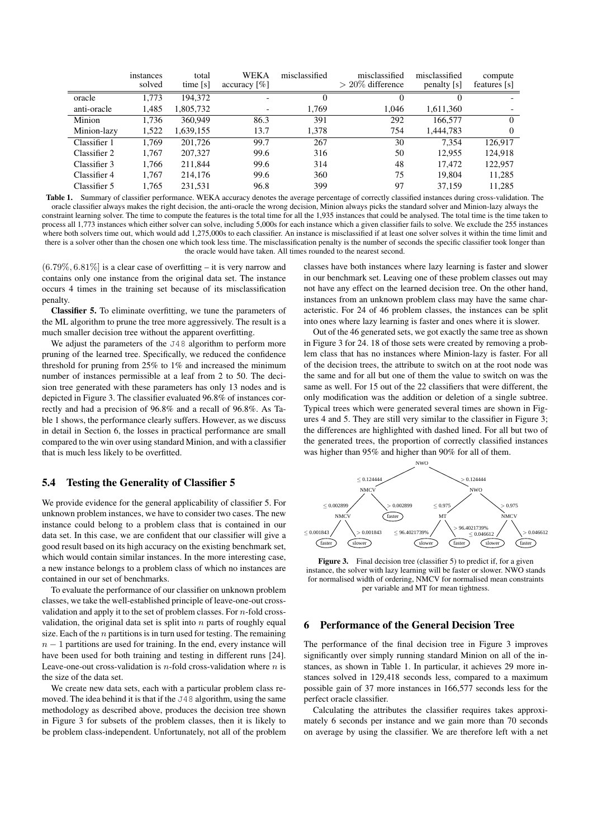|              | instances<br>solved | total<br>time $[s]$ | WEKA<br>accuracy $\lceil \% \rceil$ | misclassified | misclassified<br>$> 20\%$ difference | misclassified<br>penalty [s] | compute<br>features [s] |
|--------------|---------------------|---------------------|-------------------------------------|---------------|--------------------------------------|------------------------------|-------------------------|
| oracle       | 1.773               | 194.372             |                                     | 0             |                                      | $\mathbf{U}$                 |                         |
| anti-oracle  | 1,485               | 1,805,732           |                                     | 1,769         | 1,046                                | 1,611,360                    |                         |
| Minion       | 1,736               | 360,949             | 86.3                                | 391           | 292                                  | 166.577                      | $\Omega$                |
| Minion-lazy  | 1,522               | 1,639,155           | 13.7                                | 1.378         | 754                                  | 1.444.783                    | $\theta$                |
| Classifier 1 | 1.769               | 201,726             | 99.7                                | 267           | 30                                   | 7,354                        | 126,917                 |
| Classifier 2 | 1.767               | 207,327             | 99.6                                | 316           | 50                                   | 12.955                       | 124.918                 |
| Classifier 3 | 1,766               | 211,844             | 99.6                                | 314           | 48                                   | 17,472                       | 122,957                 |
| Classifier 4 | 1.767               | 214,176             | 99.6                                | 360           | 75                                   | 19.804                       | 11,285                  |
| Classifier 5 | 1.765               | 231.531             | 96.8                                | 399           | 97                                   | 37.159                       | 11.285                  |

Table 1. Summary of classifier performance. WEKA accuracy denotes the average percentage of correctly classified instances during cross-validation. The oracle classifier always makes the right decision, the anti-oracle the wrong decision, Minion always picks the standard solver and Minion-lazy always the constraint learning solver. The time to compute the features is the total time for all the 1,935 instances that could be analysed. The total time is the time taken to process all 1,773 instances which either solver can solve, including 5,000s for each instance which a given classifier fails to solve. We exclude the 255 instances where both solvers time out, which would add 1,275,000s to each classifier. An instance is misclassified if at least one solver solves it within the time limit and there is a solver other than the chosen one which took less time. The misclassification penalty is the number of seconds the specific classifier took longer than the oracle would have taken. All times rounded to the nearest second.

 $(6.79\%, 6.81\%)$  is a clear case of overfitting – it is very narrow and contains only one instance from the original data set. The instance occurs 4 times in the training set because of its misclassification penalty.

Classifier 5. To eliminate overfitting, we tune the parameters of the ML algorithm to prune the tree more aggressively. The result is a much smaller decision tree without the apparent overfitting.

We adjust the parameters of the J48 algorithm to perform more pruning of the learned tree. Specifically, we reduced the confidence threshold for pruning from 25% to 1% and increased the minimum number of instances permissible at a leaf from 2 to 50. The decision tree generated with these parameters has only 13 nodes and is depicted in Figure 3. The classifier evaluated 96.8% of instances correctly and had a precision of 96.8% and a recall of 96.8%. As Table 1 shows, the performance clearly suffers. However, as we discuss in detail in Section 6, the losses in practical performance are small compared to the win over using standard Minion, and with a classifier that is much less likely to be overfitted.

#### 5.4 Testing the Generality of Classifier 5

We provide evidence for the general applicability of classifier 5. For unknown problem instances, we have to consider two cases. The new instance could belong to a problem class that is contained in our data set. In this case, we are confident that our classifier will give a good result based on its high accuracy on the existing benchmark set, which would contain similar instances. In the more interesting case, a new instance belongs to a problem class of which no instances are contained in our set of benchmarks.

To evaluate the performance of our classifier on unknown problem classes, we take the well-established principle of leave-one-out crossvalidation and apply it to the set of problem classes. For  $n$ -fold crossvalidation, the original data set is split into  $n$  parts of roughly equal size. Each of the  $n$  partitions is in turn used for testing. The remaining  $n - 1$  partitions are used for training. In the end, every instance will have been used for both training and testing in different runs [24]. Leave-one-out cross-validation is  $n$ -fold cross-validation where  $n$  is the size of the data set.

We create new data sets, each with a particular problem class removed. The idea behind it is that if the J48 algorithm, using the same methodology as described above, produces the decision tree shown in Figure 3 for subsets of the problem classes, then it is likely to be problem class-independent. Unfortunately, not all of the problem

classes have both instances where lazy learning is faster and slower in our benchmark set. Leaving one of these problem classes out may not have any effect on the learned decision tree. On the other hand, instances from an unknown problem class may have the same characteristic. For 24 of 46 problem classes, the instances can be split into ones where lazy learning is faster and ones where it is slower.

Out of the 46 generated sets, we got exactly the same tree as shown in Figure 3 for 24. 18 of those sets were created by removing a problem class that has no instances where Minion-lazy is faster. For all of the decision trees, the attribute to switch on at the root node was the same and for all but one of them the value to switch on was the same as well. For 15 out of the 22 classifiers that were different, the only modification was the addition or deletion of a single subtree. Typical trees which were generated several times are shown in Figures 4 and 5. They are still very similar to the classifier in Figure 3; the differences are highlighted with dashed lined. For all but two of the generated trees, the proportion of correctly classified instances was higher than 95% and higher than 90% for all of them.



Figure 3. Final decision tree (classifier 5) to predict if, for a given instance, the solver with lazy learning will be faster or slower. NWO stands for normalised width of ordering, NMCV for normalised mean constraints per variable and MT for mean tightness.

## 6 Performance of the General Decision Tree

The performance of the final decision tree in Figure 3 improves significantly over simply running standard Minion on all of the instances, as shown in Table 1. In particular, it achieves 29 more instances solved in 129,418 seconds less, compared to a maximum possible gain of 37 more instances in 166,577 seconds less for the perfect oracle classifier.

Calculating the attributes the classifier requires takes approximately 6 seconds per instance and we gain more than 70 seconds on average by using the classifier. We are therefore left with a net